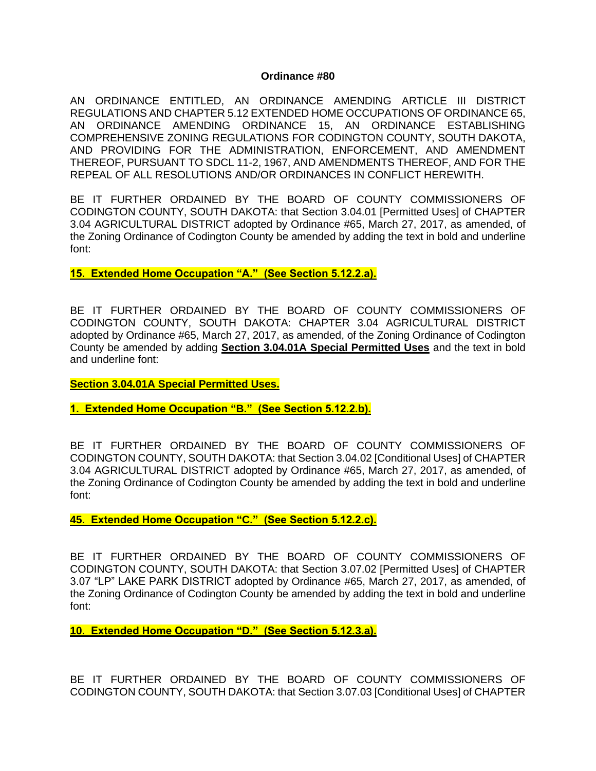#### **Ordinance #80**

AN ORDINANCE ENTITLED, AN ORDINANCE AMENDING ARTICLE III DISTRICT REGULATIONS AND CHAPTER 5.12 EXTENDED HOME OCCUPATIONS OF ORDINANCE 65, AN ORDINANCE AMENDING ORDINANCE 15, AN ORDINANCE ESTABLISHING COMPREHENSIVE ZONING REGULATIONS FOR CODINGTON COUNTY, SOUTH DAKOTA, AND PROVIDING FOR THE ADMINISTRATION, ENFORCEMENT, AND AMENDMENT THEREOF, PURSUANT TO SDCL 11-2, 1967, AND AMENDMENTS THEREOF, AND FOR THE REPEAL OF ALL RESOLUTIONS AND/OR ORDINANCES IN CONFLICT HEREWITH.

BE IT FURTHER ORDAINED BY THE BOARD OF COUNTY COMMISSIONERS OF CODINGTON COUNTY, SOUTH DAKOTA: that Section 3.04.01 [Permitted Uses] of CHAPTER 3.04 AGRICULTURAL DISTRICT adopted by Ordinance #65, March 27, 2017, as amended, of the Zoning Ordinance of Codington County be amended by adding the text in bold and underline font:

**15. Extended Home Occupation "A." (See Section 5.12.2.a).** 

BE IT FURTHER ORDAINED BY THE BOARD OF COUNTY COMMISSIONERS OF CODINGTON COUNTY, SOUTH DAKOTA: CHAPTER 3.04 AGRICULTURAL DISTRICT adopted by Ordinance #65, March 27, 2017, as amended, of the Zoning Ordinance of Codington County be amended by adding **Section 3.04.01A Special Permitted Uses** and the text in bold and underline font:

**Section 3.04.01A Special Permitted Uses.**

**1. Extended Home Occupation "B." (See Section 5.12.2.b).** 

BE IT FURTHER ORDAINED BY THE BOARD OF COUNTY COMMISSIONERS OF CODINGTON COUNTY, SOUTH DAKOTA: that Section 3.04.02 [Conditional Uses] of CHAPTER 3.04 AGRICULTURAL DISTRICT adopted by Ordinance #65, March 27, 2017, as amended, of the Zoning Ordinance of Codington County be amended by adding the text in bold and underline font:

**45. Extended Home Occupation "C." (See Section 5.12.2.c).** 

BE IT FURTHER ORDAINED BY THE BOARD OF COUNTY COMMISSIONERS OF CODINGTON COUNTY, SOUTH DAKOTA: that Section 3.07.02 [Permitted Uses] of CHAPTER 3.07 "LP" LAKE PARK DISTRICT adopted by Ordinance #65, March 27, 2017, as amended, of the Zoning Ordinance of Codington County be amended by adding the text in bold and underline font:

**10. Extended Home Occupation "D." (See Section 5.12.3.a).** 

BE IT FURTHER ORDAINED BY THE BOARD OF COUNTY COMMISSIONERS OF CODINGTON COUNTY, SOUTH DAKOTA: that Section 3.07.03 [Conditional Uses] of CHAPTER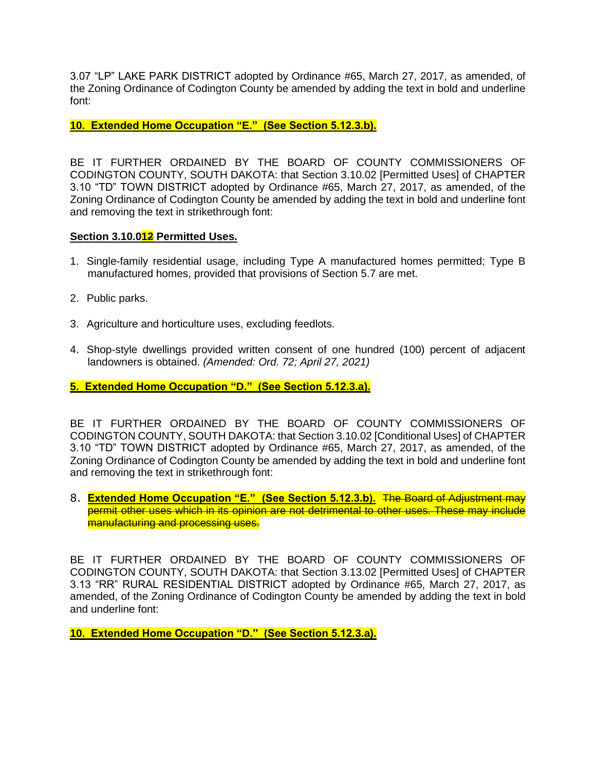3.07 "LP" LAKE PARK DISTRICT adopted by Ordinance #65, March 27, 2017, as amended, of the Zoning Ordinance of Codington County be amended by adding the text in bold and underline font:

**10. Extended Home Occupation "E." (See Section 5.12.3.b).** 

BE IT FURTHER ORDAINED BY THE BOARD OF COUNTY COMMISSIONERS OF CODINGTON COUNTY, SOUTH DAKOTA: that Section 3.10.02 [Permitted Uses] of CHAPTER 3.10 "TD" TOWN DISTRICT adopted by Ordinance #65, March 27, 2017, as amended, of the Zoning Ordinance of Codington County be amended by adding the text in bold and underline font and removing the text in strikethrough font:

### **Section 3.10.012 Permitted Uses.**

- 1. Single-family residential usage, including Type A manufactured homes permitted; Type B manufactured homes, provided that provisions of Section 5.7 are met.
- 2. Public parks.
- 3. Agriculture and horticulture uses, excluding feedlots.
- 4. Shop-style dwellings provided written consent of one hundred (100) percent of adjacent landowners is obtained. *(Amended: Ord. 72; April 27, 2021)*

**5. Extended Home Occupation "D." (See Section 5.12.3.a).** 

BE IT FURTHER ORDAINED BY THE BOARD OF COUNTY COMMISSIONERS OF CODINGTON COUNTY, SOUTH DAKOTA: that Section 3.10.02 [Conditional Uses] of CHAPTER 3.10 "TD" TOWN DISTRICT adopted by Ordinance #65, March 27, 2017, as amended, of the Zoning Ordinance of Codington County be amended by adding the text in bold and underline font and removing the text in strikethrough font:

8. **Extended Home Occupation "E." (See Section 5.12.3.b).** The Board of Adjustment may permit other uses which in its opinion are not detrimental to other uses. These may include manufacturing and processing uses.

BE IT FURTHER ORDAINED BY THE BOARD OF COUNTY COMMISSIONERS OF CODINGTON COUNTY, SOUTH DAKOTA: that Section 3.13.02 [Permitted Uses] of CHAPTER 3.13 "RR" RURAL RESIDENTIAL DISTRICT adopted by Ordinance #65, March 27, 2017, as amended, of the Zoning Ordinance of Codington County be amended by adding the text in bold and underline font:

**10. Extended Home Occupation "D." (See Section 5.12.3.a).**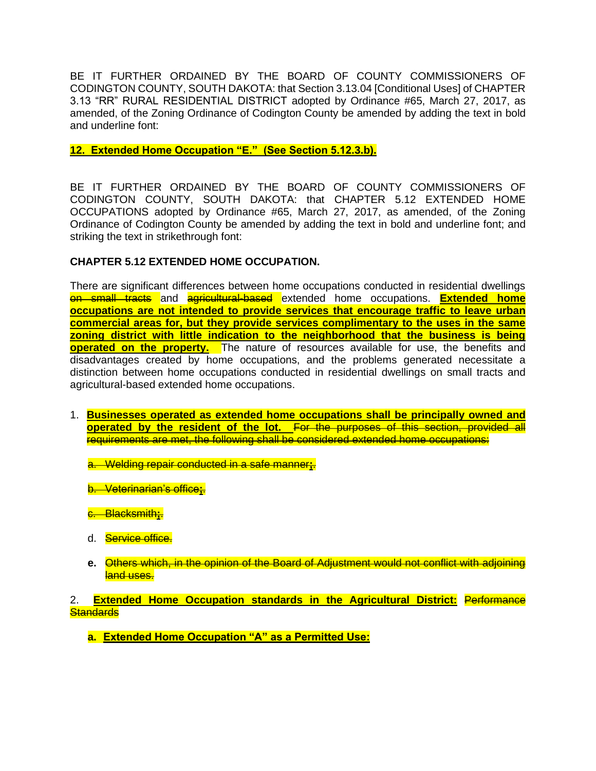BE IT FURTHER ORDAINED BY THE BOARD OF COUNTY COMMISSIONERS OF CODINGTON COUNTY, SOUTH DAKOTA: that Section 3.13.04 [Conditional Uses] of CHAPTER 3.13 "RR" RURAL RESIDENTIAL DISTRICT adopted by Ordinance #65, March 27, 2017, as amended, of the Zoning Ordinance of Codington County be amended by adding the text in bold and underline font:

**12. Extended Home Occupation "E." (See Section 5.12.3.b).** 

BE IT FURTHER ORDAINED BY THE BOARD OF COUNTY COMMISSIONERS OF CODINGTON COUNTY, SOUTH DAKOTA: that CHAPTER 5.12 EXTENDED HOME OCCUPATIONS adopted by Ordinance #65, March 27, 2017, as amended, of the Zoning Ordinance of Codington County be amended by adding the text in bold and underline font; and striking the text in strikethrough font:

## **CHAPTER 5.12 EXTENDED HOME OCCUPATION.**

There are significant differences between home occupations conducted in residential dwellings on small tracts and agricultural-based extended home occupations. **Extended home occupations are not intended to provide services that encourage traffic to leave urban commercial areas for, but they provide services complimentary to the uses in the same zoning district with little indication to the neighborhood that the business is being operated on the property.** The nature of resources available for use, the benefits and disadvantages created by home occupations, and the problems generated necessitate a distinction between home occupations conducted in residential dwellings on small tracts and agricultural-based extended home occupations.

1. **Businesses operated as extended home occupations shall be principally owned and operated by the resident of the lot.** For the purposes of this section, provided all requirements are met, the following shall be considered extended home occupations:

a. Welding repair conducted in a safe manner**;**.

b. Veterinarian's office**;**.

c. Blacksmith**;**.

- d. Service office.
- **e.** Others which, in the opinion of the Board of Adjustment would not conflict with adjoining land uses.

2. **Extended Home Occupation standards in the Agricultural District:** Performance **Standards** 

**a. Extended Home Occupation "A" as a Permitted Use:**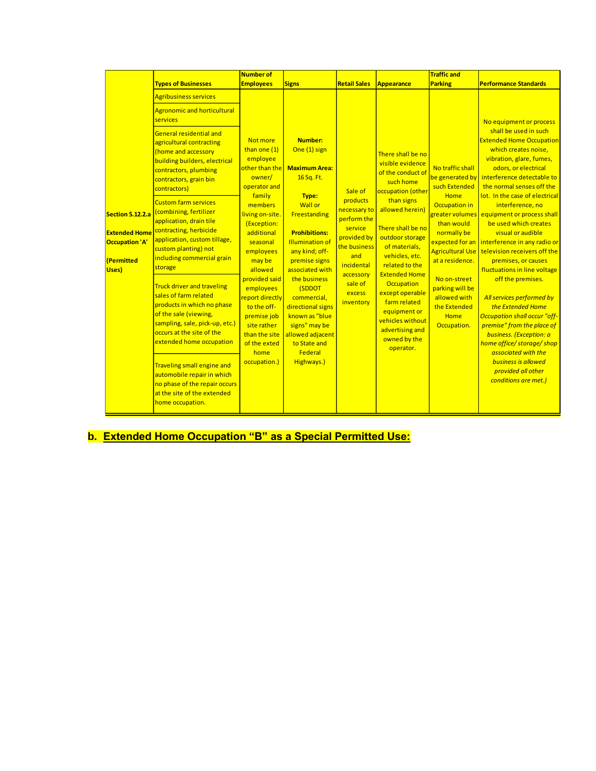|                                                                                                 |                                                                                                                                                                                                                                                         | <b>Number of</b>                                                                                                                                                                                                                                                                                                                                           |                                                                                                                                                                                                                                                                                                                                                                                               |                                                                                                                                                                  |                                                                                                                                                                                                                                                                                                                                                                                                | <b>Traffic and</b>                                                                                                                                                                                                                                                                              |                                                                                                                                                                                                                                                                                                                                                                                                                                                                                                                                                                                                                                                                                                                                                                                             |
|-------------------------------------------------------------------------------------------------|---------------------------------------------------------------------------------------------------------------------------------------------------------------------------------------------------------------------------------------------------------|------------------------------------------------------------------------------------------------------------------------------------------------------------------------------------------------------------------------------------------------------------------------------------------------------------------------------------------------------------|-----------------------------------------------------------------------------------------------------------------------------------------------------------------------------------------------------------------------------------------------------------------------------------------------------------------------------------------------------------------------------------------------|------------------------------------------------------------------------------------------------------------------------------------------------------------------|------------------------------------------------------------------------------------------------------------------------------------------------------------------------------------------------------------------------------------------------------------------------------------------------------------------------------------------------------------------------------------------------|-------------------------------------------------------------------------------------------------------------------------------------------------------------------------------------------------------------------------------------------------------------------------------------------------|---------------------------------------------------------------------------------------------------------------------------------------------------------------------------------------------------------------------------------------------------------------------------------------------------------------------------------------------------------------------------------------------------------------------------------------------------------------------------------------------------------------------------------------------------------------------------------------------------------------------------------------------------------------------------------------------------------------------------------------------------------------------------------------------|
|                                                                                                 | <b>Types of Businesses</b>                                                                                                                                                                                                                              | <b>Employees</b>                                                                                                                                                                                                                                                                                                                                           | <b>Signs</b>                                                                                                                                                                                                                                                                                                                                                                                  | <b>Retail Sales</b>                                                                                                                                              | Appearance                                                                                                                                                                                                                                                                                                                                                                                     | <b>Parking</b>                                                                                                                                                                                                                                                                                  | <b>Performance Standards</b>                                                                                                                                                                                                                                                                                                                                                                                                                                                                                                                                                                                                                                                                                                                                                                |
| <b>Section 5.12.2.a</b><br><b>Extended Home</b><br>Occupation 'A'<br><i>(Permitted</i><br>Uses) | <b>Agribusiness services</b><br><b>Agronomic and horticultural</b><br>services<br><b>General residential and</b><br>agricultural contracting<br>(home and accessory<br>building builders, electrical<br>contractors, plumbing<br>contractors, grain bin | Not more<br>than one (1)<br>employee<br>other than the<br>owner/<br>operator and<br>family<br>members<br>living on-site.<br>(Exception:<br>additional<br>seasonal<br>employees<br>may be<br>allowed<br>provided said<br>employees<br>report directly<br>to the off-<br>premise job<br>site rather<br>than the site<br>of the exted<br>home<br>occupation.) | <b>Number:</b><br>One (1) sign<br><b>Maximum Area:</b><br>16 Sq. Ft.<br>Type:<br><b>Wall or</b><br>Freestanding<br><b>Prohibitions:</b><br><b>Illumination of</b><br>any kind; off-<br>premise signs<br>associated with<br>the business<br>(SDDOT<br>commercial.<br>directional signs<br>known as "blue"<br>signs" may be<br>allowed adjacent<br>to State and<br><b>Federal</b><br>Highways.) | Sale of<br>products<br>necessary to<br>perform the<br>service<br>provided by<br>the business<br>and<br>incidental<br>accessory<br>sale of<br>excess<br>inventory | There shall be no<br>visible evidence<br>of the conduct of<br>such home<br>occupation (other<br>than signs<br>allowed herein)<br>There shall be no<br>outdoor storage<br>of materials,<br>vehicles, etc.<br>related to the<br><b>Extended Home</b><br><b>Occupation</b><br>except operable<br>farm related<br>equipment or<br>vehicles without<br>advertising and<br>owned by the<br>operator. | No traffic shall<br>be generated by<br>such Extended<br>Home<br>Occupation in<br>greater volumes<br>than would<br>normally be<br>expected for an<br><b>Agricultural Use</b><br>at a residence.<br>No on-street<br>parking will be<br>allowed with<br>the Extended<br><b>Home</b><br>Occupation. | No equipment or process<br>shall be used in such<br><b>Extended Home Occupation</b><br>which creates noise,<br>vibration, glare, fumes,<br>odors, or electrical<br>interference detectable to<br>the normal senses off the<br>lot. In the case of electrical<br>interference, no<br>equipment or process shall<br>be used which creates<br>visual or audible<br>interference in any radio or<br>television receivers off the<br>premises, or causes<br>fluctuations in line voltage<br>off the premises.<br>All services performed by<br>the Extended Home<br><b>Occupation shall occur "off-</b><br>premise" from the place of<br>business. (Exception: a<br>home office/ storage/ shop<br>associated with the<br><b>business is allowed</b><br>provided all other<br>conditions are met.) |
|                                                                                                 | contractors)<br><b>Custom farm services</b><br>(combining, fertilizer                                                                                                                                                                                   |                                                                                                                                                                                                                                                                                                                                                            |                                                                                                                                                                                                                                                                                                                                                                                               |                                                                                                                                                                  |                                                                                                                                                                                                                                                                                                                                                                                                |                                                                                                                                                                                                                                                                                                 |                                                                                                                                                                                                                                                                                                                                                                                                                                                                                                                                                                                                                                                                                                                                                                                             |
|                                                                                                 | application, drain tile<br>contracting, herbicide<br>application, custom tillage,<br>custom planting) not<br>including commercial grain<br>storage                                                                                                      |                                                                                                                                                                                                                                                                                                                                                            |                                                                                                                                                                                                                                                                                                                                                                                               |                                                                                                                                                                  |                                                                                                                                                                                                                                                                                                                                                                                                |                                                                                                                                                                                                                                                                                                 |                                                                                                                                                                                                                                                                                                                                                                                                                                                                                                                                                                                                                                                                                                                                                                                             |
|                                                                                                 | <b>Truck driver and traveling</b><br>sales of farm related<br>products in which no phase<br>of the sale (viewing,<br>sampling, sale, pick-up, etc.)<br>occurs at the site of the<br>extended home occupation                                            |                                                                                                                                                                                                                                                                                                                                                            |                                                                                                                                                                                                                                                                                                                                                                                               |                                                                                                                                                                  |                                                                                                                                                                                                                                                                                                                                                                                                |                                                                                                                                                                                                                                                                                                 |                                                                                                                                                                                                                                                                                                                                                                                                                                                                                                                                                                                                                                                                                                                                                                                             |
|                                                                                                 | <b>Traveling small engine and</b><br>automobile repair in which<br>no phase of the repair occurs<br>at the site of the extended<br>home occupation.                                                                                                     |                                                                                                                                                                                                                                                                                                                                                            |                                                                                                                                                                                                                                                                                                                                                                                               |                                                                                                                                                                  |                                                                                                                                                                                                                                                                                                                                                                                                |                                                                                                                                                                                                                                                                                                 |                                                                                                                                                                                                                                                                                                                                                                                                                                                                                                                                                                                                                                                                                                                                                                                             |

## **b. Extended Home Occupation "B" as a Special Permitted Use:**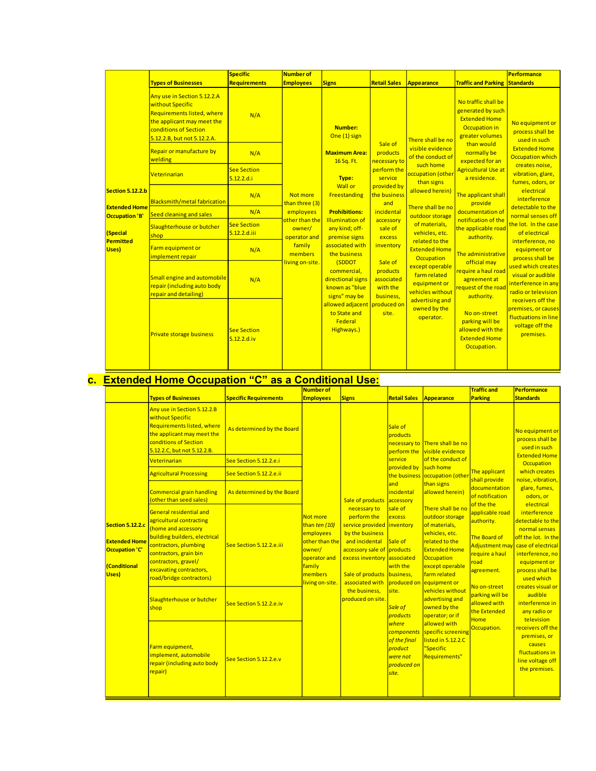|                                        |                                                                                                                                                                     | <b>Specific</b>                       | <b>Number of</b>                                                                                                            |                                                                                                                                                                                                       |                                                                                                                                                                                                                                         |                                                                                                                                                                                                                                                                                                                                                                                                |                                                                                                                                                                                                                                                                                                                                                                                                                                        | Performance                                                                                                                                                                                                                                                                                                                                                                                                                                                                                                                             |
|----------------------------------------|---------------------------------------------------------------------------------------------------------------------------------------------------------------------|---------------------------------------|-----------------------------------------------------------------------------------------------------------------------------|-------------------------------------------------------------------------------------------------------------------------------------------------------------------------------------------------------|-----------------------------------------------------------------------------------------------------------------------------------------------------------------------------------------------------------------------------------------|------------------------------------------------------------------------------------------------------------------------------------------------------------------------------------------------------------------------------------------------------------------------------------------------------------------------------------------------------------------------------------------------|----------------------------------------------------------------------------------------------------------------------------------------------------------------------------------------------------------------------------------------------------------------------------------------------------------------------------------------------------------------------------------------------------------------------------------------|-----------------------------------------------------------------------------------------------------------------------------------------------------------------------------------------------------------------------------------------------------------------------------------------------------------------------------------------------------------------------------------------------------------------------------------------------------------------------------------------------------------------------------------------|
|                                        | <b>Types of Businesses</b>                                                                                                                                          | <b>Requirements</b>                   | <b>Employees</b>                                                                                                            | <b>Signs</b>                                                                                                                                                                                          | <b>Retail Sales</b>                                                                                                                                                                                                                     | Appearance                                                                                                                                                                                                                                                                                                                                                                                     | <b>Traffic and Parking Standards</b>                                                                                                                                                                                                                                                                                                                                                                                                   |                                                                                                                                                                                                                                                                                                                                                                                                                                                                                                                                         |
| <b>Section 5.12.2.b</b>                | Any use in Section 5.12.2.A<br>without Specific<br>Requirements listed, where<br>the applicant may meet the<br>conditions of Section<br>5.12.2.B, but not 5.12.2.A. | N/A                                   | Not more<br>than three (3)<br>employees<br>other than the<br>owner/<br>operator and<br>family<br>members<br>living on-site. | Number:<br>One (1) sign<br><b>Maximum Area:</b><br>16 Sq. Ft.<br>Type:                                                                                                                                | Sale of<br>products<br>necessary to<br>perform the<br>service<br>provided by<br>the business<br>and<br>incidental<br>accessory<br>sale of<br>excess<br>inventory<br>Sale of<br>products<br>associated<br>with the<br>business,<br>site. | There shall be no<br>visible evidence<br>of the conduct of<br>such home<br>occupation (other<br>than signs<br>allowed herein)<br>There shall be no<br>outdoor storage<br>of materials.<br>vehicles, etc.<br>related to the<br><b>Extended Home</b><br><b>Occupation</b><br>except operable<br>farm related<br>equipment or<br>vehicles without<br>advertising and<br>owned by the<br>operator. | No traffic shall be<br>generated by such<br><b>Extended Home</b><br>Occupation in<br>greater volumes<br>than would<br>normally be<br>expected for an<br><b>Agricultural Use at</b><br>a residence.<br>The applicant shall<br>provide<br>documentation of<br>notification of the<br>the applicable road<br>authority.<br>The administrative<br>official may<br>require a haul road<br>agreement at<br>request of the road<br>authority. | No equipment or<br>process shall be<br>used in such<br><b>Extended Home</b><br><b>Occupation which</b><br>creates noise,<br>vibration, glare,<br>fumes, odors, or<br>electrical<br>interference<br>detectable to the<br>normal senses off<br>the lot. In the case<br>of electrical<br>interference, no<br>equipment or<br>process shall be<br>used which creates<br>visual or audible<br>interference in any<br>radio or television<br>receivers off the<br>premises, or causes<br>fluctuations in line<br>voltage off the<br>premises. |
|                                        | Repair or manufacture by<br>welding                                                                                                                                 | N/A                                   |                                                                                                                             |                                                                                                                                                                                                       |                                                                                                                                                                                                                                         |                                                                                                                                                                                                                                                                                                                                                                                                |                                                                                                                                                                                                                                                                                                                                                                                                                                        |                                                                                                                                                                                                                                                                                                                                                                                                                                                                                                                                         |
|                                        | Veterinarian                                                                                                                                                        | <b>See Section</b><br>5.12.2.d.i      |                                                                                                                             |                                                                                                                                                                                                       |                                                                                                                                                                                                                                         |                                                                                                                                                                                                                                                                                                                                                                                                |                                                                                                                                                                                                                                                                                                                                                                                                                                        |                                                                                                                                                                                                                                                                                                                                                                                                                                                                                                                                         |
|                                        | Blacksmith/metal fabrication                                                                                                                                        | N/A                                   |                                                                                                                             | <b>Wall or</b><br>Freestanding                                                                                                                                                                        |                                                                                                                                                                                                                                         |                                                                                                                                                                                                                                                                                                                                                                                                |                                                                                                                                                                                                                                                                                                                                                                                                                                        |                                                                                                                                                                                                                                                                                                                                                                                                                                                                                                                                         |
| <b>Extended Home</b><br>Occupation 'B' | Seed cleaning and sales                                                                                                                                             | N/A                                   |                                                                                                                             | <b>Prohibitions:</b><br><b>Illumination of</b><br>any kind; off-<br>premise signs<br>associated with<br>the business<br>(SDDOT<br>commercial,<br>directional signs<br>known as "blue<br>signs" may be |                                                                                                                                                                                                                                         |                                                                                                                                                                                                                                                                                                                                                                                                |                                                                                                                                                                                                                                                                                                                                                                                                                                        |                                                                                                                                                                                                                                                                                                                                                                                                                                                                                                                                         |
| <b>Special</b><br>Permitted<br>Uses)   | Slaughterhouse or butcher<br>shop                                                                                                                                   | <b>See Section</b><br>$5.12.2$ .d.iii |                                                                                                                             |                                                                                                                                                                                                       |                                                                                                                                                                                                                                         |                                                                                                                                                                                                                                                                                                                                                                                                |                                                                                                                                                                                                                                                                                                                                                                                                                                        |                                                                                                                                                                                                                                                                                                                                                                                                                                                                                                                                         |
|                                        | Farm equipment or<br>implement repair                                                                                                                               | N/A                                   |                                                                                                                             |                                                                                                                                                                                                       |                                                                                                                                                                                                                                         |                                                                                                                                                                                                                                                                                                                                                                                                |                                                                                                                                                                                                                                                                                                                                                                                                                                        |                                                                                                                                                                                                                                                                                                                                                                                                                                                                                                                                         |
|                                        | Small engine and automobile<br>repair (including auto body<br>repair and detailing)                                                                                 | N/A                                   |                                                                                                                             |                                                                                                                                                                                                       |                                                                                                                                                                                                                                         |                                                                                                                                                                                                                                                                                                                                                                                                |                                                                                                                                                                                                                                                                                                                                                                                                                                        |                                                                                                                                                                                                                                                                                                                                                                                                                                                                                                                                         |
|                                        | Private storage business                                                                                                                                            | <b>See Section</b><br>$5.12.2$ .d.iv  |                                                                                                                             | allowed adjacent produced on<br>to State and<br>Federal<br>Highways.)                                                                                                                                 |                                                                                                                                                                                                                                         |                                                                                                                                                                                                                                                                                                                                                                                                | No on-street<br>parking will be<br>allowed with the<br><b>Extended Home</b><br>Occupation.                                                                                                                                                                                                                                                                                                                                             |                                                                                                                                                                                                                                                                                                                                                                                                                                                                                                                                         |

# **c. Extended Home Occupation "C" as a Conditional Use:**

|  |                                                                                                   |                                                                                                                                                                                                                                                      |                              | <b>Number of</b>                                                                                                           |                                                                                                                                                                                                                                                              |                                                                                                                                                                                                                                      |                                                                                                                                                                                                                                                                                                                                                                                                            | <b>Traffic and</b>                                                                                                                                                                                                                                                            | <b>Performance</b>                                                                                                                                                                                                                                                                                                                                                                                                                                  |
|--|---------------------------------------------------------------------------------------------------|------------------------------------------------------------------------------------------------------------------------------------------------------------------------------------------------------------------------------------------------------|------------------------------|----------------------------------------------------------------------------------------------------------------------------|--------------------------------------------------------------------------------------------------------------------------------------------------------------------------------------------------------------------------------------------------------------|--------------------------------------------------------------------------------------------------------------------------------------------------------------------------------------------------------------------------------------|------------------------------------------------------------------------------------------------------------------------------------------------------------------------------------------------------------------------------------------------------------------------------------------------------------------------------------------------------------------------------------------------------------|-------------------------------------------------------------------------------------------------------------------------------------------------------------------------------------------------------------------------------------------------------------------------------|-----------------------------------------------------------------------------------------------------------------------------------------------------------------------------------------------------------------------------------------------------------------------------------------------------------------------------------------------------------------------------------------------------------------------------------------------------|
|  |                                                                                                   | <b>Types of Businesses</b>                                                                                                                                                                                                                           | <b>Specific Requirements</b> | <b>Employees</b>                                                                                                           | <b>Signs</b>                                                                                                                                                                                                                                                 | <b>Retail Sales</b>                                                                                                                                                                                                                  | Appearance                                                                                                                                                                                                                                                                                                                                                                                                 | <b>Parking</b>                                                                                                                                                                                                                                                                | <b>Standards</b>                                                                                                                                                                                                                                                                                                                                                                                                                                    |
|  |                                                                                                   | Any use in Section 5.12.2.B<br>without Specific<br><b>Requirements listed, where</b><br>the applicant may meet the<br>conditions of Section<br>5.12.2.C, but not 5.12.2.B.                                                                           | As determined by the Board   | Not more<br>than ten (10)<br>employees<br>other than the<br>owner/<br>operator and<br>family<br>members<br>living on-site. | Sale of products<br>necessary to<br>perform the<br>service provided inventory<br>by the business<br>and incidental<br>accessory sale of products<br>excess inventory associated<br>Sale of products<br>associated with<br>the business,<br>produced on site. | Sale of<br><b>products</b><br>perform the<br>service<br>provided by<br>the business<br>and<br>incidental<br>accessory<br>sale of<br>excess<br>Sale of<br>with the<br>business,<br>produced on<br>site.<br><b>Sale of</b><br>products | necessary to There shall be no<br>visible evidence<br>of the conduct of<br>such home<br>occupation (other<br>than signs<br>allowed herein)<br>There shall be no<br>outdoor storage<br>of materials,<br>vehicles, etc.<br>related to the<br><b>Extended Home</b><br>Occupation<br>except operable<br>farm related<br>equipment or<br>vehicles without<br>advertising and<br>owned by the<br>operator; or if | The applicant<br>shall provide<br>documentation<br>of notification<br>of the the<br>applicable road<br>authority.<br>The Board of<br><b>Adjustment may</b><br>require a haul<br>road<br>agreement.<br>No on-street<br>parking will be<br>allowed with<br>the Extended<br>Home | No equipment or<br>process shall be<br>used in such<br><b>Extended Home</b><br><b>Occupation</b><br>which creates<br>noise, vibration,<br>glare, fumes,<br>odors, or<br>electrical<br><i>interference</i><br>detectable to the<br>normal senses<br>off the lot. In the<br>case of electrical<br>interference, no<br>equipment or<br>process shall be<br>used which<br>creates visual or<br>audible<br>interference in<br>any radio or<br>television |
|  |                                                                                                   | <b>Veterinarian</b>                                                                                                                                                                                                                                  | See Section 5.12.2.e.i       |                                                                                                                            |                                                                                                                                                                                                                                                              |                                                                                                                                                                                                                                      |                                                                                                                                                                                                                                                                                                                                                                                                            |                                                                                                                                                                                                                                                                               |                                                                                                                                                                                                                                                                                                                                                                                                                                                     |
|  |                                                                                                   | <b>Agricultural Processing</b>                                                                                                                                                                                                                       | See Section 5.12.2.e.ii      |                                                                                                                            |                                                                                                                                                                                                                                                              |                                                                                                                                                                                                                                      |                                                                                                                                                                                                                                                                                                                                                                                                            |                                                                                                                                                                                                                                                                               |                                                                                                                                                                                                                                                                                                                                                                                                                                                     |
|  |                                                                                                   | <b>Commercial grain handling</b><br>(other than seed sales)                                                                                                                                                                                          | As determined by the Board   |                                                                                                                            |                                                                                                                                                                                                                                                              |                                                                                                                                                                                                                                      |                                                                                                                                                                                                                                                                                                                                                                                                            |                                                                                                                                                                                                                                                                               |                                                                                                                                                                                                                                                                                                                                                                                                                                                     |
|  | <b>Section 5.12.2.c</b><br><b>Extended Home</b><br>Occupation 'C'<br><b>(Conditional</b><br>Uses) | <b>General residential and</b><br>agricultural contracting<br>(home and accessory<br>building builders, electrical<br>contractors, plumbing<br>contractors, grain bin<br>contractors, gravel/<br>excavating contractors,<br>road/bridge contractors) | See Section 5.12.2.e.iii     |                                                                                                                            |                                                                                                                                                                                                                                                              |                                                                                                                                                                                                                                      |                                                                                                                                                                                                                                                                                                                                                                                                            |                                                                                                                                                                                                                                                                               |                                                                                                                                                                                                                                                                                                                                                                                                                                                     |
|  |                                                                                                   | Slaughterhouse or butcher<br>shop                                                                                                                                                                                                                    | See Section 5.12.2.e.iv      |                                                                                                                            |                                                                                                                                                                                                                                                              |                                                                                                                                                                                                                                      |                                                                                                                                                                                                                                                                                                                                                                                                            |                                                                                                                                                                                                                                                                               |                                                                                                                                                                                                                                                                                                                                                                                                                                                     |
|  | Farm equipment,<br>implement, automobile<br>repair (including auto body<br>repair)                | See Section 5.12.2.e.v                                                                                                                                                                                                                               |                              |                                                                                                                            | where<br>components<br>of the final<br>product<br>were not<br>produced on<br>site.                                                                                                                                                                           | allowed with<br>specific screening<br>listed in 5.12.2.C<br>"Specific<br>Requirements"                                                                                                                                               | Occupation.                                                                                                                                                                                                                                                                                                                                                                                                | receivers off the<br>premises, or<br>causes<br>fluctuations in<br>line voltage off<br>the premises.                                                                                                                                                                           |                                                                                                                                                                                                                                                                                                                                                                                                                                                     |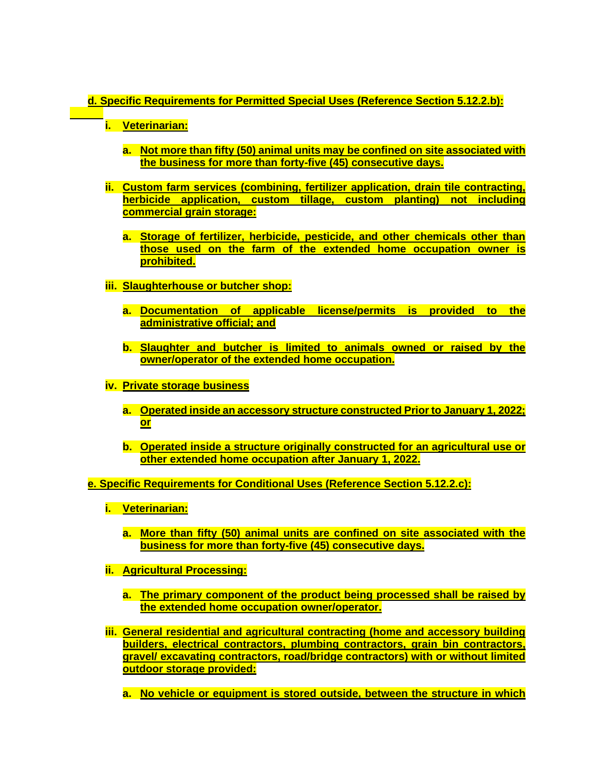## **d. Specific Requirements for Permitted Special Uses (Reference Section 5.12.2.b):**

**i. Veterinarian:**

- **a. Not more than fifty (50) animal units may be confined on site associated with the business for more than forty-five (45) consecutive days.**
- **ii. Custom farm services (combining, fertilizer application, drain tile contracting, herbicide application, custom tillage, custom planting) not including commercial grain storage:**
	- **a. Storage of fertilizer, herbicide, pesticide, and other chemicals other than those used on the farm of the extended home occupation owner is prohibited.**
- **iii. Slaughterhouse or butcher shop:**
	- **a. Documentation of applicable license/permits is provided to the administrative official; and**
	- **b. Slaughter and butcher is limited to animals owned or raised by the owner/operator of the extended home occupation.**
- **iv. Private storage business**
	- **a. Operated inside an accessory structure constructed Prior to January 1, 2022; or**
	- **b. Operated inside a structure originally constructed for an agricultural use or other extended home occupation after January 1, 2022.**

**e. Specific Requirements for Conditional Uses (Reference Section 5.12.2.c):**

- **i. Veterinarian:**
	- **a. More than fifty (50) animal units are confined on site associated with the business for more than forty-five (45) consecutive days.**
- **ii. Agricultural Processing:**
	- **a. The primary component of the product being processed shall be raised by the extended home occupation owner/operator.**
- **iii. General residential and agricultural contracting (home and accessory building builders, electrical contractors, plumbing contractors, grain bin contractors, gravel/ excavating contractors, road/bridge contractors) with or without limited outdoor storage provided:**
	- **a. No vehicle or equipment is stored outside, between the structure in which**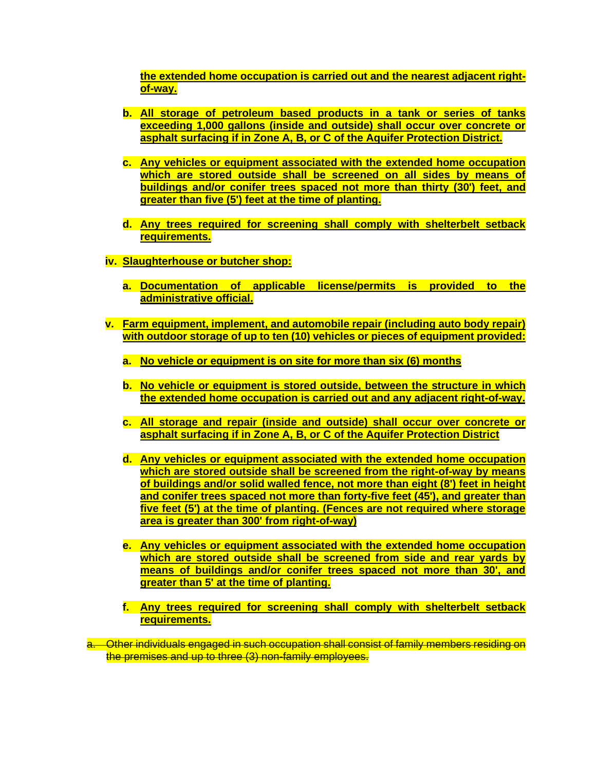**the extended home occupation is carried out and the nearest adjacent rightof-way.**

- **b. All storage of petroleum based products in a tank or series of tanks exceeding 1,000 gallons (inside and outside) shall occur over concrete or asphalt surfacing if in Zone A, B, or C of the Aquifer Protection District.**
- **c. Any vehicles or equipment associated with the extended home occupation which are stored outside shall be screened on all sides by means of buildings and/or conifer trees spaced not more than thirty (30') feet, and greater than five (5') feet at the time of planting.**
- **d. Any trees required for screening shall comply with shelterbelt setback requirements.**
- **iv. Slaughterhouse or butcher shop:**
	- **a. Documentation of applicable license/permits is provided to the administrative official.**
- **v. Farm equipment, implement, and automobile repair (including auto body repair) with outdoor storage of up to ten (10) vehicles or pieces of equipment provided:**
	- **a. No vehicle or equipment is on site for more than six (6) months**
	- **b. No vehicle or equipment is stored outside, between the structure in which the extended home occupation is carried out and any adjacent right-of-way.**
	- **c. All storage and repair (inside and outside) shall occur over concrete or asphalt surfacing if in Zone A, B, or C of the Aquifer Protection District**
	- **d. Any vehicles or equipment associated with the extended home occupation which are stored outside shall be screened from the right-of-way by means of buildings and/or solid walled fence, not more than eight (8') feet in height and conifer trees spaced not more than forty-five feet (45'), and greater than five feet (5') at the time of planting. (Fences are not required where storage area is greater than 300' from right-of-way)**
	- **e. Any vehicles or equipment associated with the extended home occupation which are stored outside shall be screened from side and rear yards by means of buildings and/or conifer trees spaced not more than 30', and greater than 5' at the time of planting.**
	- **f. Any trees required for screening shall comply with shelterbelt setback requirements.**

a. Other individuals engaged in such occupation shall consist of family members residing on the premises and up to three (3) non-family employees.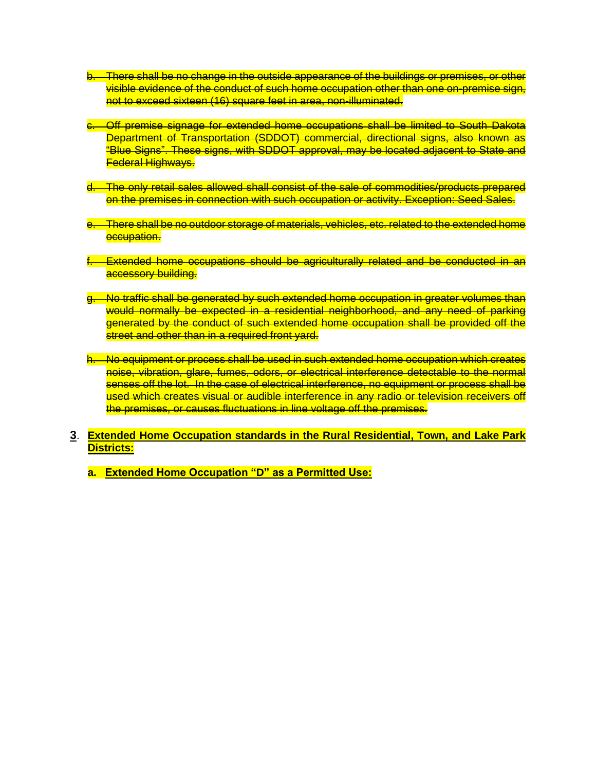- b. There shall be no change in the outside appearance of the buildings or premises, or other visible evidence of the conduct of such home occupation other than one on-premise sign, not to exceed sixteen (16) square feet in area, non-illuminated.
- c. Off premise signage for extended home occupations shall be limited to South Dakota Department of Transportation (SDDOT) commercial, directional signs, also known as "Blue Signs". These signs, with SDDOT approval, may be located adjacent to State and Federal Highways.
- d. The only retail sales allowed shall consist of the sale of commodities/products prepared on the premises in connection with such occupation or activity. Exception: Seed Sales.
- e. There shall be no outdoor storage of materials, vehicles, etc. related to the extended home occupation.
- Extended home occupations should be agriculturally related and be conducted in an accessory building.
- g. No traffic shall be generated by such extended home occupation in greater volumes than would normally be expected in a residential neighborhood, and any need of parking generated by the conduct of such extended home occupation shall be provided off the street and other than in a required front yard.
- h. No equipment or process shall be used in such extended home occupation which creates noise, vibration, glare, fumes, odors, or electrical interference detectable to the normal senses off the lot. In the case of electrical interference, no equipment or process shall be used which creates visual or audible interference in any radio or television receivers off the premises, or causes fluctuations in line voltage off the premises.
- **3**. **Extended Home Occupation standards in the Rural Residential, Town, and Lake Park Districts:**
	- **a. Extended Home Occupation "D" as a Permitted Use:**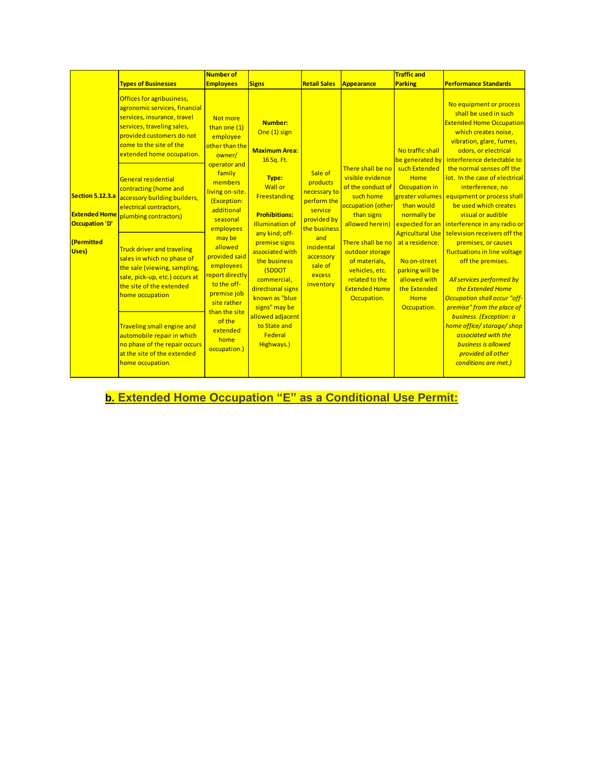|                                                           |                                                                                                                                                                                                                                                                                                                                                                              | <b>Number of</b>                                                                                                                                                                                                                                                                                                                                                 |                                                                                                                                                                                                                                                                                                                                                                                 |                                                                                                                                                                  |                                                                                                                                                                                                                                                                   | <b>Traffic and</b>                                                                                                                                                                                                                                                                       |                                                                                                                                                                                                                                                                                                                                                                                                                                                                                                                                                                                                                                                                                                                                                                                           |
|-----------------------------------------------------------|------------------------------------------------------------------------------------------------------------------------------------------------------------------------------------------------------------------------------------------------------------------------------------------------------------------------------------------------------------------------------|------------------------------------------------------------------------------------------------------------------------------------------------------------------------------------------------------------------------------------------------------------------------------------------------------------------------------------------------------------------|---------------------------------------------------------------------------------------------------------------------------------------------------------------------------------------------------------------------------------------------------------------------------------------------------------------------------------------------------------------------------------|------------------------------------------------------------------------------------------------------------------------------------------------------------------|-------------------------------------------------------------------------------------------------------------------------------------------------------------------------------------------------------------------------------------------------------------------|------------------------------------------------------------------------------------------------------------------------------------------------------------------------------------------------------------------------------------------------------------------------------------------|-------------------------------------------------------------------------------------------------------------------------------------------------------------------------------------------------------------------------------------------------------------------------------------------------------------------------------------------------------------------------------------------------------------------------------------------------------------------------------------------------------------------------------------------------------------------------------------------------------------------------------------------------------------------------------------------------------------------------------------------------------------------------------------------|
|                                                           | <b>Types of Businesses</b>                                                                                                                                                                                                                                                                                                                                                   | <b>Employees</b>                                                                                                                                                                                                                                                                                                                                                 | <b>Signs</b>                                                                                                                                                                                                                                                                                                                                                                    | <b>Retail Sales</b>                                                                                                                                              | Appearance                                                                                                                                                                                                                                                        | <b>Parking</b>                                                                                                                                                                                                                                                                           | <b>Performance Standards</b>                                                                                                                                                                                                                                                                                                                                                                                                                                                                                                                                                                                                                                                                                                                                                              |
| Section 5.12.3.a<br>Occupation 'D'<br>(Permitted<br>Uses) | Offices for agribusiness,<br>agronomic services, financial<br>services, insurance, travel<br>services, traveling sales,<br>provided customers do not<br>come to the site of the<br>extended home occupation.<br><b>General residential</b><br>contracting (home and<br>accessory building builders,<br>electrical contractors.<br><b>Extended Home</b> plumbing contractors) | Not more<br>than one (1)<br>employee<br>other than the<br>owner/<br>operator and<br>family<br>members<br>living on-site.<br>(Exception:<br>additional<br>seasonal<br>employees<br>may be<br>allowed<br>provided said<br>employees<br>report directly<br>to the off-<br>premise job<br>site rather<br>than the site<br>of the<br>extended<br>home<br>occupation.) | Number:<br>One (1) sign<br><b>Maximum Area:</b><br>16 Sq. Ft.<br>Type:<br><b>Wall or</b><br>Freestanding<br><b>Prohibitions:</b><br><b>Illumination of</b><br>any kind; off-<br>premise signs<br>associated with<br>the business<br>(SDDOT<br>commercial.<br>directional signs<br>known as "blue"<br>signs" may be<br>allowed adjacent<br>to State and<br>Federal<br>Highways.) | Sale of<br>products<br>necessary to<br>perform the<br>service<br>provided by<br>the business<br>and<br>incidental<br>accessory<br>sale of<br>excess<br>inventory | There shall be no<br>visible evidence<br>of the conduct of<br>such home<br>occupation (other<br>than signs<br>allowed herein)<br>There shall be no<br>outdoor storage<br>of materials,<br>vehicles, etc.<br>related to the<br><b>Extended Home</b><br>Occupation. | No traffic shall<br>be generated by<br>such Extended<br>Home<br>Occupation in<br>greater volumes<br>than would<br>normally be<br>expected for an<br><b>Agricultural Use</b><br>at a residence.<br>No on-street<br>parking will be<br>allowed with<br>the Extended<br>Home<br>Occupation. | No equipment or process<br>shall be used in such<br><b>Extended Home Occupation</b><br>which creates noise,<br>vibration, glare, fumes,<br>odors, or electrical<br>interference detectable to<br>the normal senses off the<br>lot. In the case of electrical<br>interference, no<br>equipment or process shall<br>be used which creates<br>visual or audible<br>interference in any radio or<br>television receivers off the<br>premises, or causes<br>fluctuations in line voltage<br>off the premises.<br>All services performed by<br>the Extended Home<br><b>Occupation shall occur "off-</b><br>premise" from the place of<br>business. (Exception: a<br>home office/storage/shop<br>associated with the<br><b>business is allowed</b><br>provided all other<br>conditions are met.) |
|                                                           | <b>Truck driver and traveling</b><br>sales in which no phase of<br>the sale (viewing, sampling,<br>sale, pick-up, etc.) occurs at<br>the site of the extended<br>home occupation<br><b>Traveling small engine and</b><br>automobile repair in which<br>no phase of the repair occurs<br>at the site of the extended<br>home occupation.                                      |                                                                                                                                                                                                                                                                                                                                                                  |                                                                                                                                                                                                                                                                                                                                                                                 |                                                                                                                                                                  |                                                                                                                                                                                                                                                                   |                                                                                                                                                                                                                                                                                          |                                                                                                                                                                                                                                                                                                                                                                                                                                                                                                                                                                                                                                                                                                                                                                                           |

**b. Extended Home Occupation "E" as a Conditional Use Permit:**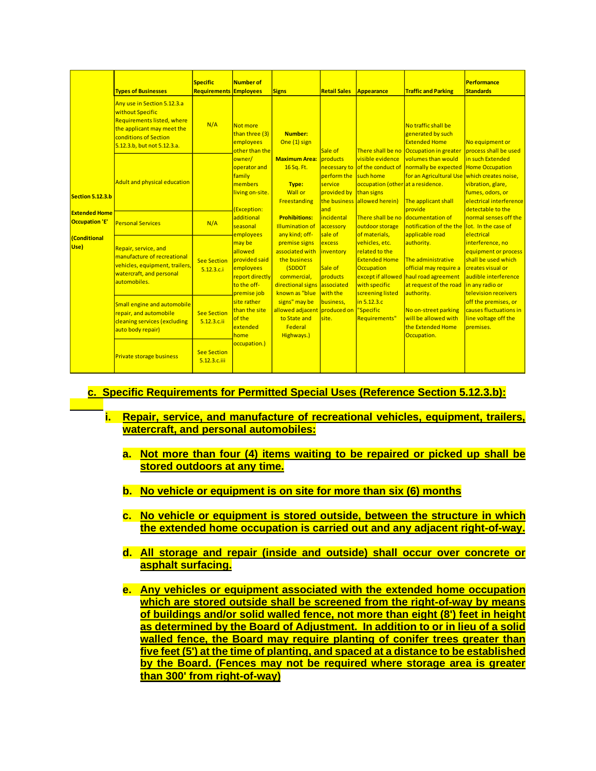|                                               | <b>Types of Businesses</b>                                                                                                                                          | <b>Specific</b><br>Requirements    | Number of<br><b>Employees</b>                                                                                                                                                                                                                                                                                                                                       | <b>Signs</b>                                                                                                                                                                                                                                                                                                                                                                                                                                | <b>Retail Sales</b>                                                                                                                                             | Appearance                                                                                                                                                                                                                                                                                                                                          | <b>Traffic and Parking</b>                                                                                                                                                                                                                                                                                                                                                                                                                                                                                                                                            | <b>Performance</b><br><b>Standards</b>                                                                                                                                                                                                                                                                                                                                                                                                                                          |
|-----------------------------------------------|---------------------------------------------------------------------------------------------------------------------------------------------------------------------|------------------------------------|---------------------------------------------------------------------------------------------------------------------------------------------------------------------------------------------------------------------------------------------------------------------------------------------------------------------------------------------------------------------|---------------------------------------------------------------------------------------------------------------------------------------------------------------------------------------------------------------------------------------------------------------------------------------------------------------------------------------------------------------------------------------------------------------------------------------------|-----------------------------------------------------------------------------------------------------------------------------------------------------------------|-----------------------------------------------------------------------------------------------------------------------------------------------------------------------------------------------------------------------------------------------------------------------------------------------------------------------------------------------------|-----------------------------------------------------------------------------------------------------------------------------------------------------------------------------------------------------------------------------------------------------------------------------------------------------------------------------------------------------------------------------------------------------------------------------------------------------------------------------------------------------------------------------------------------------------------------|---------------------------------------------------------------------------------------------------------------------------------------------------------------------------------------------------------------------------------------------------------------------------------------------------------------------------------------------------------------------------------------------------------------------------------------------------------------------------------|
|                                               | Any use in Section 5.12.3.a<br>without Specific<br>Requirements listed, where<br>the applicant may meet the<br>conditions of Section<br>5.12.3.b, but not 5.12.3.a. | N/A                                | Not more<br>than three (3)<br>employees<br>other than the<br>owner/<br>operator and<br>family<br>members<br>living on-site.<br>(Exception:<br>additional<br>seasonal<br>employees<br>may be<br>allowed<br>provided said<br>employees<br>report directly<br>to the off-<br>premise job<br>site rather<br>than the site<br>of the<br>extended<br>home<br>occupation.) | Number:<br>One (1) sign<br><b>Maximum Area: products</b><br>16 Sq. Ft.<br>Type:<br><b>Wall or</b><br>Freestanding<br><b>Prohibitions:</b><br><b>Illumination of</b><br>any kind; off-<br>premise signs<br>associated with inventory<br>the business<br>(SDDOT<br>commercial.<br>directional signs associated<br>known as "blue with the<br>signs" may be<br>allowed adjacent produced on "Specific<br>to State and<br>Federal<br>Highways.) | Sale of<br>perform the<br>service<br>provided by than signs<br>and<br>incidental<br>accessory<br>sale of<br>excess<br>Sale of<br>products<br>business.<br>site. | There shall be no<br>visible evidence<br>necessary to of the conduct of<br>such home<br>occupation (other at a residence.<br>the business allowed herein)<br>outdoor storage<br>of materials,<br>vehicles, etc.<br>related to the<br><b>Extended Home</b><br><b>Occupation</b><br>with specific<br>screening listed<br>in 5.12.3.c<br>Requirements" | No traffic shall be<br>generated by such<br><b>Extended Home</b><br>Occupation in greater<br>volumes than would<br>normally be expected<br>for an Agricultural Use which creates noise,<br>The applicant shall<br>provide<br>There shall be no documentation of<br>notification of the the llot. In the case of<br>applicable road<br>authority.<br>The administrative<br>official may require a<br>except if allowed haul road agreement<br>at request of the road<br>authority.<br>No on-street parking<br>will be allowed with<br>the Extended Home<br>Occupation. | No equipment or<br>process shall be used<br>in such Extended<br><b>Home Occupation</b><br>vibration, glare,<br>fumes, odors, or<br>electrical interference<br>detectable to the<br>normal senses off the<br>electrical<br>interference, no<br>equipment or process<br>shall be used which<br><b>Creates visual or</b><br>audible interference<br>in any radio or<br>television receivers<br>off the premises, or<br>causes fluctuations in<br>line voltage off the<br>premises. |
| Section 5.12.3.b                              | Adult and physical education                                                                                                                                        |                                    |                                                                                                                                                                                                                                                                                                                                                                     |                                                                                                                                                                                                                                                                                                                                                                                                                                             |                                                                                                                                                                 |                                                                                                                                                                                                                                                                                                                                                     |                                                                                                                                                                                                                                                                                                                                                                                                                                                                                                                                                                       |                                                                                                                                                                                                                                                                                                                                                                                                                                                                                 |
| <b>Extended Home</b><br><b>Occupation 'E'</b> | <b>Personal Services</b>                                                                                                                                            | N/A                                |                                                                                                                                                                                                                                                                                                                                                                     |                                                                                                                                                                                                                                                                                                                                                                                                                                             |                                                                                                                                                                 |                                                                                                                                                                                                                                                                                                                                                     |                                                                                                                                                                                                                                                                                                                                                                                                                                                                                                                                                                       |                                                                                                                                                                                                                                                                                                                                                                                                                                                                                 |
| <b>(Conditional</b><br>Use)                   | Repair, service, and<br>manufacture of recreational<br>vehicles, equipment, trailers,<br>watercraft, and personal<br>automobiles.                                   | <b>See Section</b><br>5.12.3.c.i   |                                                                                                                                                                                                                                                                                                                                                                     |                                                                                                                                                                                                                                                                                                                                                                                                                                             |                                                                                                                                                                 |                                                                                                                                                                                                                                                                                                                                                     |                                                                                                                                                                                                                                                                                                                                                                                                                                                                                                                                                                       |                                                                                                                                                                                                                                                                                                                                                                                                                                                                                 |
|                                               | Small engine and automobile<br>repair, and automobile<br>cleaning services (excluding<br>auto body repair)                                                          | <b>See Section</b><br>5.12.3.c.ii  |                                                                                                                                                                                                                                                                                                                                                                     |                                                                                                                                                                                                                                                                                                                                                                                                                                             |                                                                                                                                                                 |                                                                                                                                                                                                                                                                                                                                                     |                                                                                                                                                                                                                                                                                                                                                                                                                                                                                                                                                                       |                                                                                                                                                                                                                                                                                                                                                                                                                                                                                 |
|                                               | <b>Private storage business</b>                                                                                                                                     | <b>See Section</b><br>5.12.3.c.iii |                                                                                                                                                                                                                                                                                                                                                                     |                                                                                                                                                                                                                                                                                                                                                                                                                                             |                                                                                                                                                                 |                                                                                                                                                                                                                                                                                                                                                     |                                                                                                                                                                                                                                                                                                                                                                                                                                                                                                                                                                       |                                                                                                                                                                                                                                                                                                                                                                                                                                                                                 |

- **c. Specific Requirements for Permitted Special Uses (Reference Section 5.12.3.b):**
	- **i. Repair, service, and manufacture of recreational vehicles, equipment, trailers, watercraft, and personal automobiles:**
		- **a. Not more than four (4) items waiting to be repaired or picked up shall be stored outdoors at any time.**
		- **b. No vehicle or equipment is on site for more than six (6) months**
		- **c. No vehicle or equipment is stored outside, between the structure in which the extended home occupation is carried out and any adjacent right-of-way.**
		- **d. All storage and repair (inside and outside) shall occur over concrete or asphalt surfacing.**
		- **e. Any vehicles or equipment associated with the extended home occupation which are stored outside shall be screened from the right-of-way by means of buildings and/or solid walled fence, not more than eight (8') feet in height as determined by the Board of Adjustment. In addition to or in lieu of a solid walled fence, the Board may require planting of conifer trees greater than five feet (5') at the time of planting, and spaced at a distance to be established by the Board. (Fences may not be required where storage area is greater than 300' from right-of-way)**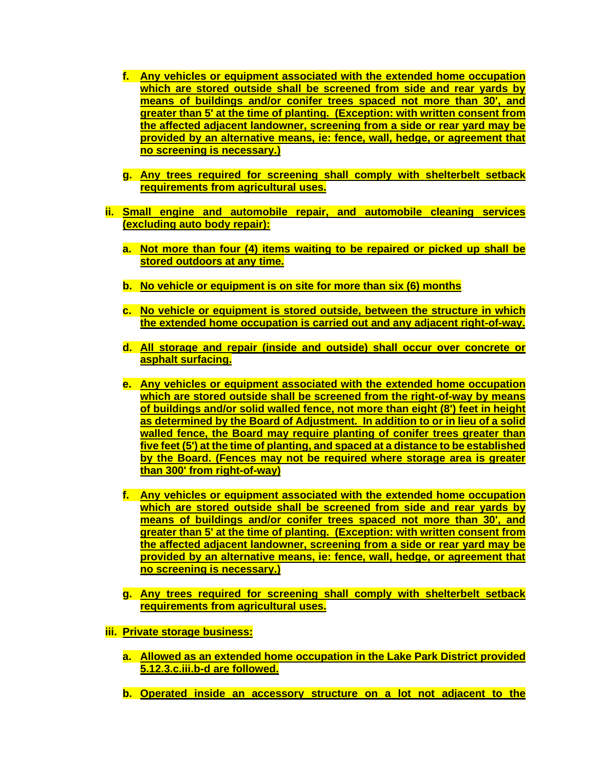- **f. Any vehicles or equipment associated with the extended home occupation which are stored outside shall be screened from side and rear yards by means of buildings and/or conifer trees spaced not more than 30', and greater than 5' at the time of planting. (Exception: with written consent from the affected adjacent landowner, screening from a side or rear yard may be provided by an alternative means, ie: fence, wall, hedge, or agreement that no screening is necessary.)**
- **g. Any trees required for screening shall comply with shelterbelt setback requirements from agricultural uses.**
- **ii. Small engine and automobile repair, and automobile cleaning services (excluding auto body repair):**
	- **a. Not more than four (4) items waiting to be repaired or picked up shall be stored outdoors at any time.**
	- **b. No vehicle or equipment is on site for more than six (6) months**
	- **c. No vehicle or equipment is stored outside, between the structure in which the extended home occupation is carried out and any adjacent right-of-way.**
	- **d. All storage and repair (inside and outside) shall occur over concrete or asphalt surfacing.**
	- **e. Any vehicles or equipment associated with the extended home occupation which are stored outside shall be screened from the right-of-way by means of buildings and/or solid walled fence, not more than eight (8') feet in height as determined by the Board of Adjustment. In addition to or in lieu of a solid walled fence, the Board may require planting of conifer trees greater than five feet (5') at the time of planting, and spaced at a distance to be established by the Board. (Fences may not be required where storage area is greater than 300' from right-of-way)**
	- **f. Any vehicles or equipment associated with the extended home occupation which are stored outside shall be screened from side and rear yards by means of buildings and/or conifer trees spaced not more than 30', and greater than 5' at the time of planting. (Exception: with written consent from the affected adjacent landowner, screening from a side or rear yard may be provided by an alternative means, ie: fence, wall, hedge, or agreement that no screening is necessary.)**
	- **g. Any trees required for screening shall comply with shelterbelt setback requirements from agricultural uses.**
- **iii. Private storage business:**
	- **a. Allowed as an extended home occupation in the Lake Park District provided 5.12.3.c.iii.b-d are followed.**
	- **b. Operated inside an accessory structure on a lot not adjacent to the**